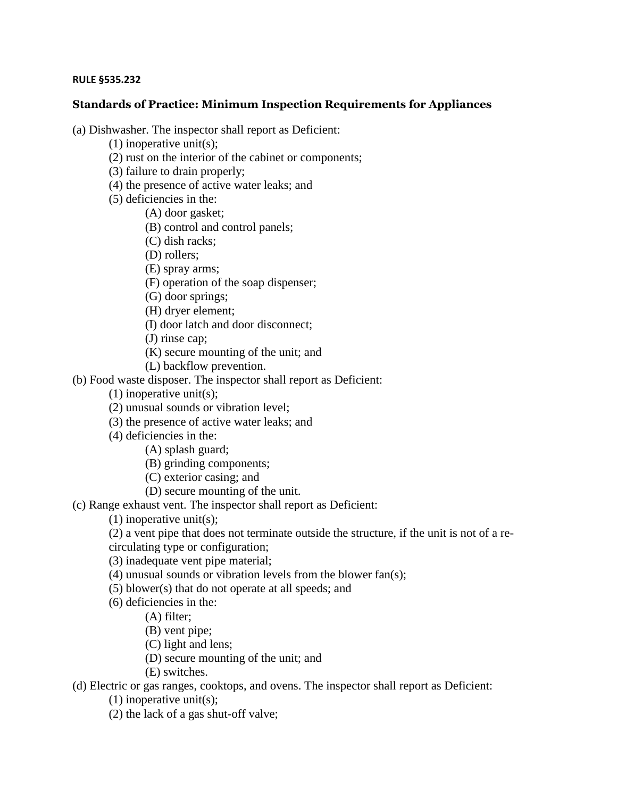## **RULE §535.232**

## **Standards of Practice: Minimum Inspection Requirements for Appliances**

(a) Dishwasher. The inspector shall report as Deficient:

- (1) inoperative unit(s);
- (2) rust on the interior of the cabinet or components;
- (3) failure to drain properly;
- (4) the presence of active water leaks; and
- (5) deficiencies in the:
	- (A) door gasket;
		- (B) control and control panels;
		- (C) dish racks;
		- (D) rollers;
		- (E) spray arms;
		- (F) operation of the soap dispenser;
		- (G) door springs;
	- (H) dryer element;
	- (I) door latch and door disconnect;
	- (J) rinse cap;
	- (K) secure mounting of the unit; and
	- (L) backflow prevention.

## (b) Food waste disposer. The inspector shall report as Deficient:

- (1) inoperative unit(s);
- (2) unusual sounds or vibration level;
- (3) the presence of active water leaks; and
- (4) deficiencies in the:
	- (A) splash guard;
	- (B) grinding components;
	- (C) exterior casing; and
	- (D) secure mounting of the unit.
- (c) Range exhaust vent. The inspector shall report as Deficient:
	- (1) inoperative unit(s);
	- (2) a vent pipe that does not terminate outside the structure, if the unit is not of a re-
	- circulating type or configuration;
	- (3) inadequate vent pipe material;
	- (4) unusual sounds or vibration levels from the blower fan(s);
	- (5) blower(s) that do not operate at all speeds; and
	- (6) deficiencies in the:
		- (A) filter;
		- (B) vent pipe;
		- (C) light and lens;
		- (D) secure mounting of the unit; and
		- (E) switches.

(d) Electric or gas ranges, cooktops, and ovens. The inspector shall report as Deficient:

- (1) inoperative unit(s);
- (2) the lack of a gas shut-off valve;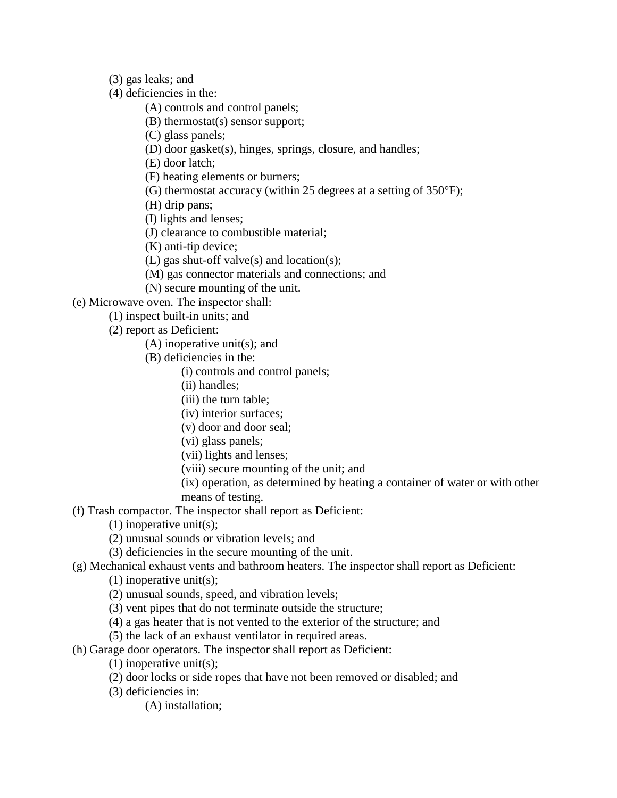(3) gas leaks; and

(4) deficiencies in the:

(A) controls and control panels;

(B) thermostat(s) sensor support;

(C) glass panels;

(D) door gasket(s), hinges, springs, closure, and handles;

(E) door latch;

(F) heating elements or burners;

(G) thermostat accuracy (within 25 degrees at a setting of 350°F);

(H) drip pans;

(I) lights and lenses;

(J) clearance to combustible material;

(K) anti-tip device;

(L) gas shut-off valve(s) and location(s);

(M) gas connector materials and connections; and

(N) secure mounting of the unit.

(e) Microwave oven. The inspector shall:

(1) inspect built-in units; and

(2) report as Deficient:

(A) inoperative unit(s); and

(B) deficiencies in the:

(i) controls and control panels;

(ii) handles;

(iii) the turn table;

(iv) interior surfaces;

(v) door and door seal;

(vi) glass panels;

(vii) lights and lenses;

(viii) secure mounting of the unit; and

(ix) operation, as determined by heating a container of water or with other means of testing.

(f) Trash compactor. The inspector shall report as Deficient:

(1) inoperative unit(s);

(2) unusual sounds or vibration levels; and

(3) deficiencies in the secure mounting of the unit.

(g) Mechanical exhaust vents and bathroom heaters. The inspector shall report as Deficient:

(1) inoperative unit(s);

(2) unusual sounds, speed, and vibration levels;

(3) vent pipes that do not terminate outside the structure;

(4) a gas heater that is not vented to the exterior of the structure; and

(5) the lack of an exhaust ventilator in required areas.

(h) Garage door operators. The inspector shall report as Deficient:

(1) inoperative unit(s);

(2) door locks or side ropes that have not been removed or disabled; and

(3) deficiencies in:

(A) installation;